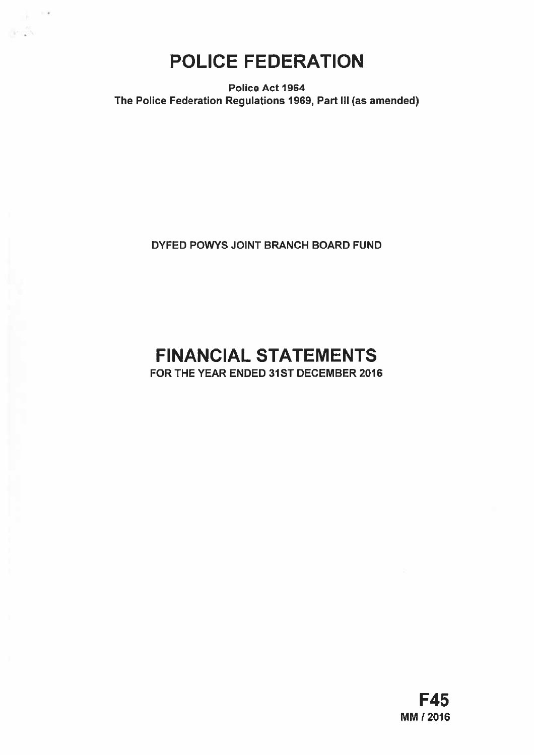POLICE FEDERATION

 $\sim$   $\sigma$ 

an S

Police Act 1964 The Police Federation Regulations 1969, Part III (as amended)

DYFED POWYS JOINT BRANCH BOARD FUND

# FINANCIAL STATEMENTS

FOR THE YEAR ENDED 31ST DECEMBER 2016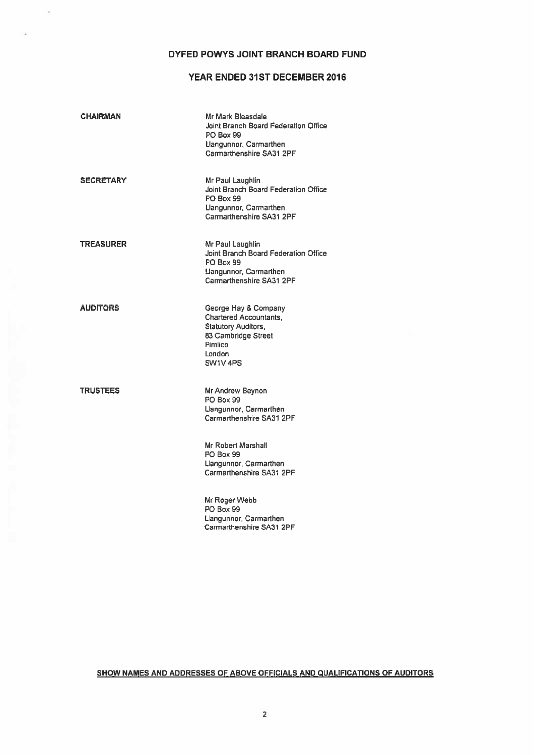# DYFED POWYS JOINT BRANCH BOARD FUND

i,

# YEAR ENDED 31ST DECEMBER 2016

| <b>CHAIRMAN</b> | Mr Mark Bleasdale<br>Joint Branch Board Federation Office<br><b>PO Box 99</b><br>Llangunnor, Carmarthen<br>Carmarthenshire SA31 2PF         |
|-----------------|---------------------------------------------------------------------------------------------------------------------------------------------|
| SECRETARY       | Mr Paul Laughlin<br>Joint Branch Board Federation Office<br><b>PO Box 99</b><br>Llangunnor, Carmarthen<br>Carmarthenshire SA31 2PF          |
| TREASURER       | Mr Paul Laughlin<br>Joint Branch Board Federation Office<br><b>PO Box 99</b><br>Llangunnor, Carmarthen<br>Carmarthenshire SA31 2PF          |
| AUDITORS        | George Hay & Company<br><b>Chartered Accountants,</b><br><b>Statutory Auditors,</b><br>83 Cambridge Street<br>Pimlico<br>London<br>SW1V 4PS |
| <b>TRUSTEES</b> | Mr Andrew Beynon<br>PO Box 99<br>Llangunnor, Carmarthen<br>Carmarthenshire SA31 2PF                                                         |
|                 | Mr Robert Marshall<br><b>PO Box 99</b><br>Llangunnor, Carmarthen<br>Carmarthenshire SA31 2PF                                                |
|                 | Mr Roger Webb<br>PO Box 99<br>Llangunnor, Carmarthen<br>Carmarthenshire SA31 2PF                                                            |

SHOW NAMES AND ADDRESSES OF ABOVE OFFICIALS AND QUALIFICATIONS OF AUDITORS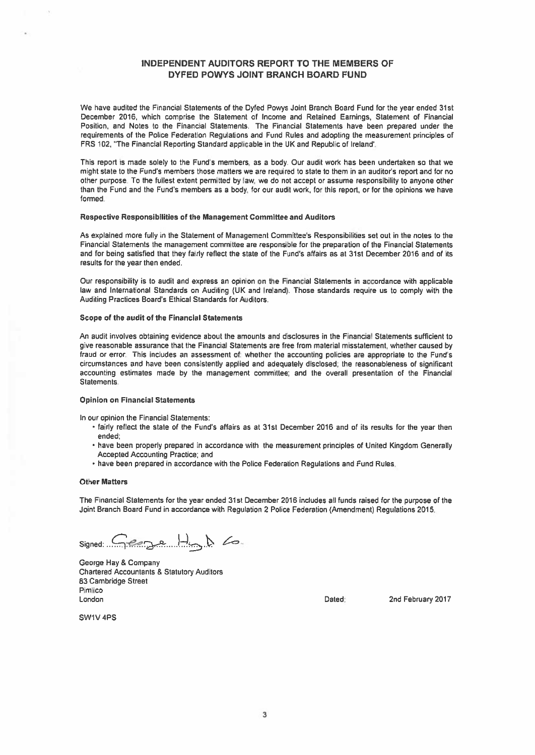# INDEPENDENT AUDITORS REPORT TO THE MEMBERS OF DYFED POWYS JOINT BRANCH BOARD FUND

We have audited the Financial Statements of the Dyfed Powys Joint Branch Board Fund far the year ended 31st December 2016, which comprise the Statement of Income and Retained Earnings, Statement of Financial Position, and Notes to the Financial Statements. The Financial Statements have been prepared under the requirements of the Police Federation Regulations and Fund Rules and adopting the measurement principles of FRS 102, "The Financial Reporting Standard applicable in the UK and Republic of Ireland'.

This repor<sup>t</sup> is made solely to the Fund's members, as <sup>a</sup> body. Our audit work has been undertaken so that we might state to the Fund's members those matters we are required to state to them in an auditor's repor<sup>t</sup> and for no other purpose. To the fullest extent permitted by law, we do not accept or assume responsibility to anyone other than the Fund and the Fund's members as <sup>a</sup> body, for our audit work, for this report, or for the opinions we have formed.

#### Respective Responsibilities of the Management Committee and Auditors

As explained more fully in the Statement of Management Committee's Responsibilities set out in the notes to the Financial Statements the managemen<sup>t</sup> committee are responsible for the preparation of the Financial Statements and for being satisfied that they fairly reflect the state of the Fund's affairs as at 31st December 2016 and of its results for the year then ended.

Our responsibility is to audit and express an opinion on the Financial Statements in accordance with applicable law and International Standards on Auditing (UK and Ireland). Those standards require us to comply with the Auditing Practices Board's Ethical Standards for Auditors.

#### Scope of the audit of the Financial Statements

An audit involves obtaining evidence about the amounts and disclosures in the Financial Statements sufficient to give reasonable assurance that the Financial Statements are free from material misstatement, whether caused by fraud or error. This includes an assessment of: whether the accounting policies are appropriate to the Fund's circumstances and have been consistently applied and adequately disclosed; the reasonableness of significant accounting estimates made by the managemen<sup>t</sup> committee; and the overall presentation of the Financial Statements.

#### Opinion on Financial Statements

In our opinion the Financial Statements:

- fairly reflect the state of the Fund's affairs as at 31st December 2016 and of its results for the year then ended,
- have been properly prepared in accordance with the measurement principles of United Kingdom Generally Accepted Accountina Practice; and
- have been prepared in accordance with the Police Federation Regulations and Fund Rules.

#### Other Matters

The Financial Statements for the year ended 31st December 2016 includes all funds raised for the purpose of the Joint Branch Board Fund in accordance with Regulation 2 Police Federation (Amendment) Regulations 2015.

Signed: Cege Hand Co.

George Hay & Company Chartered Accountants & Statutory Auditors 63 Cambridge Street Pimlico London Dated 2nd February 2017

SWIV 4P5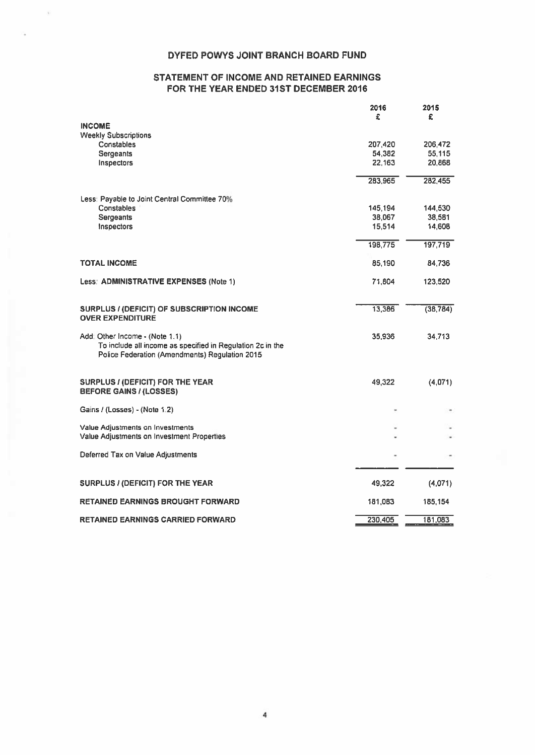# DYFED POWYS JOINT BRANCH BOARD FUND

# STATEMENT OF INCOME AND RETAINED EARNINGS FOR THE YEAR ENDED 31ST DECEMBER 2016

|                                                                                                                                                | 2016<br>£ | 2015<br>£ |
|------------------------------------------------------------------------------------------------------------------------------------------------|-----------|-----------|
| <b>INCOME</b>                                                                                                                                  |           |           |
| <b>Weekly Subscriptions</b>                                                                                                                    |           |           |
| Constables                                                                                                                                     | 207,420   | 206,472   |
| Sergeants                                                                                                                                      | 54,382    | 55,115    |
| Inspectors                                                                                                                                     | 22,163    | 20,868    |
|                                                                                                                                                | 283,965   | 282,455   |
| Less: Payable to Joint Central Committee 70%                                                                                                   |           |           |
| Constables                                                                                                                                     | 145,194   | 144,530   |
| <b>Sergeants</b>                                                                                                                               | 38,067    | 38.581    |
| Inspectors                                                                                                                                     | 15,514    | 14,608    |
|                                                                                                                                                | 198,775   | 197,719   |
| <b>TOTAL INCOME</b>                                                                                                                            | 85,190    | 84,736    |
| Less: ADMINISTRATIVE EXPENSES (Note 1)                                                                                                         | 71,804    | 123,520   |
| <b>SURPLUS / (DEFICIT) OF SUBSCRIPTION INCOME</b><br><b>OVER EXPENDITURE</b>                                                                   | 13,386    | (38, 784) |
| Add: Other Income - (Note 1.1)<br>To include all income as specified in Regulation 2c in the<br>Police Federation (Amendments) Regulation 2015 | 35,936    | 34,713    |
| <b>SURPLUS / (DEFICIT) FOR THE YEAR</b><br><b>BEFORE GAINS / (LOSSES)</b>                                                                      | 49,322    | (4,071)   |
| Gains / (Losses) - (Note 1.2)                                                                                                                  |           |           |
| Value Adjustments on Investments                                                                                                               |           |           |
| Value Adjustments on Investment Properties                                                                                                     |           |           |
| Deferred Tax on Value Adjustments                                                                                                              |           |           |
| <b>SURPLUS / (DEFICIT) FOR THE YEAR</b>                                                                                                        | 49,322    | (4,071)   |
| <b>RETAINED EARNINGS BROUGHT FORWARD</b>                                                                                                       | 181,083   | 185,154   |
|                                                                                                                                                |           |           |
| <b>RETAINED EARNINGS CARRIED FORWARD</b>                                                                                                       | 230.405   | 181.083   |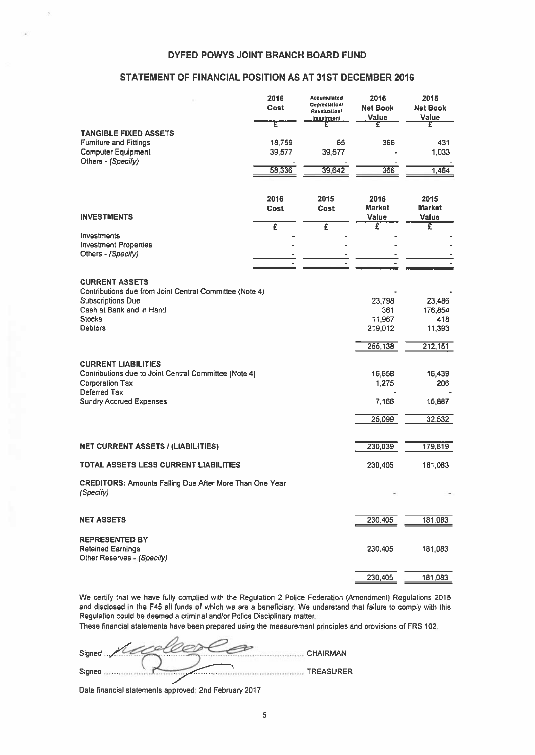# DYFED POWYS JOINT BRANCH BOARD FUND

# STATEMENT OF FINANCIAL POSITION AS AT 31ST DECEMBER 2016

| DYFED POWYS JOINT BRANCH BOARD FUND                                                                                           |                       |                                                                   |                                       |                                    |
|-------------------------------------------------------------------------------------------------------------------------------|-----------------------|-------------------------------------------------------------------|---------------------------------------|------------------------------------|
| STATEMENT OF FINANCIAL POSITION AS AT 31ST DECEMBER 2016                                                                      |                       |                                                                   |                                       |                                    |
|                                                                                                                               | 2016<br>Cost          | Accumulated<br><b>Depreclation/</b><br>Revaluation/<br>Impairment | 2016<br><b>Net Book</b><br>Value      | 2015<br><b>Net Book</b><br>Value   |
| <b>TANGIBLE FIXED ASSETS</b><br><b>Furniture and Fittings</b><br><b>Computer Equipment</b>                                    | τ<br>18,759<br>39,577 | £<br>65<br>39,577                                                 | £<br>366                              | £<br>431<br>1,033                  |
| Others - (Specify)                                                                                                            | 58,336                | 39,642                                                            | 366                                   | 1,464                              |
| <b>INVESTMENTS</b>                                                                                                            | 2016<br>Cost          | 2015<br>Cost                                                      | 2016<br><b>Market</b><br><b>Value</b> | 2015<br><b>Market</b><br>Value     |
| Investments<br><b>Investment Properties</b><br>Others - (Specify)                                                             | $\overline{\epsilon}$ | £                                                                 | £                                     | Ξ                                  |
| <b>CURRENT ASSETS</b><br>Contributions due from Joint Central Committee (Note 4)                                              |                       |                                                                   |                                       |                                    |
| <b>Subscriptions Due</b><br>Cash at Bank and in Hand<br><b>Stocks</b><br><b>Debtors</b>                                       |                       |                                                                   | 23,798<br>361<br>11,967<br>219,012    | 23,486<br>176,854<br>418<br>11,393 |
|                                                                                                                               |                       |                                                                   | 255,138                               | 212,151                            |
| <b>CURRENT LIABILITIES</b><br>Contributions due to Joint Central Committee (Note 4)<br><b>Corporation Tax</b><br>Deferred Tax |                       |                                                                   | 16,658<br>1,275                       | 16,439<br>206                      |
| <b>Sundry Accrued Expenses</b>                                                                                                |                       |                                                                   | 7,166                                 | 15,887                             |
|                                                                                                                               |                       |                                                                   | 25,099                                | 32,532                             |
| <b>NET CURRENT ASSETS / (LIABILITIES)</b>                                                                                     |                       |                                                                   | 230,039                               | 179,619                            |
| TOTAL ASSETS LESS CURRENT LIABILITIES                                                                                         |                       |                                                                   | 230,405                               | 181,083                            |
| <b>CREDITORS: Amounts Falling Due After More Than One Year</b><br>(Specify)                                                   |                       |                                                                   |                                       |                                    |
| <b>NET ASSETS</b>                                                                                                             |                       |                                                                   | 230,405                               | 181,083                            |
| <b>REPRESENTED BY</b><br><b>Retained Earnings</b><br>Other Reserves - (Specify)                                               |                       |                                                                   | 230,405                               | 181,083                            |
|                                                                                                                               |                       |                                                                   | 230,405                               | 181,083                            |

We certify that we have fully complied with the Regulation 2 Police Federation (Amendment) Regulations 2015 and disclosed in the F45 all funds of which we are <sup>a</sup> beneficiary. We understand that failure to comply with this Regulation could be deemed <sup>a</sup> criminal and/or Police Disciplinary matter.

These financial statements have been prepared using the measurement principles and provisions of FRS 102.

| Signed | CHAIRMAN  |
|--------|-----------|
| Signed | TREASURER |

Date financial statements approved: 2nd February 2017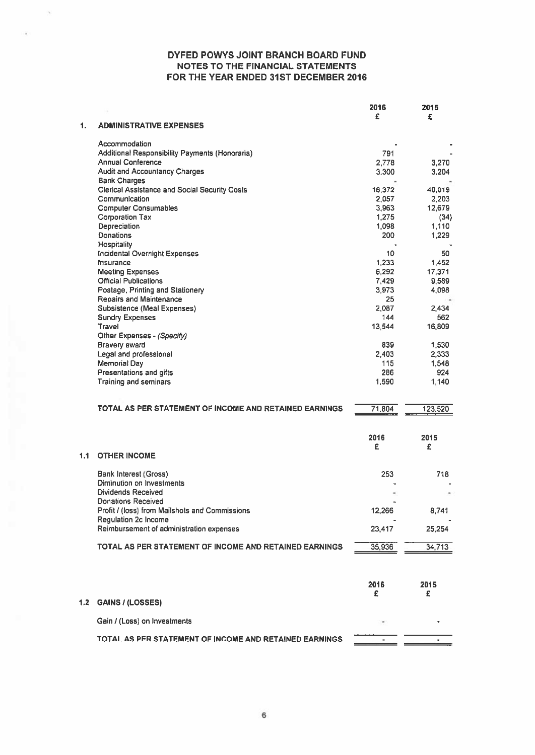|                  |                                                        | 2016      | 2015      |
|------------------|--------------------------------------------------------|-----------|-----------|
| 1.               | <b>ADMINISTRATIVE EXPENSES</b>                         | £         | £         |
|                  | Accommodation                                          |           |           |
|                  | Additional Responsibility Payments (Honoraria)         | 791       |           |
|                  | <b>Annual Conference</b>                               | 2,778     | 3,270     |
|                  | <b>Audit and Accountancy Charges</b>                   | 3,300     | 3,204     |
|                  | <b>Bank Charges</b>                                    |           |           |
|                  | <b>Clerical Assistance and Social Security Costs</b>   | 16,372    | 40,019    |
|                  | Communication                                          | 2.057     | 2,203     |
|                  | <b>Computer Consumables</b>                            | 3,963     | 12,679    |
|                  | <b>Corporation Tax</b>                                 | 1,275     | (34)      |
|                  | Depreciation                                           | 1,098     | 1,110     |
|                  | Donations                                              | 200       | 1,229     |
|                  | Hospitality                                            |           |           |
|                  | <b>Incidental Overnight Expenses</b>                   | 10        | 50        |
|                  | Insurance                                              | 1,233     | 1.452     |
|                  | <b>Meeting Expenses</b>                                | 6,292     | 17,371    |
|                  | <b>Official Publications</b>                           | 7.429     | 9,589     |
|                  | Postage, Printing and Stationery                       | 3,973     | 4,098     |
|                  | <b>Repairs and Maintenance</b>                         | 25        |           |
|                  | Subsistence (Meal Expenses)                            | 2.087     | 2,434     |
|                  | <b>Sundry Expenses</b>                                 | 144       | 562       |
|                  | Travel                                                 | 13.544    | 16,809    |
|                  | Other Expenses - (Specify)                             |           |           |
|                  | <b>Bravery award</b>                                   | 839       | 1,530     |
|                  | Legal and professional                                 | 2,403     | 2,333     |
|                  | Memorial Day                                           | 115       | 1,548     |
|                  | Presentations and gifts                                | 286       | 924       |
|                  | Training and seminars                                  | 1,590     |           |
|                  |                                                        |           | 1,140     |
|                  | TOTAL AS PER STATEMENT OF INCOME AND RETAINED EARNINGS | 71,804    | 123,520   |
|                  |                                                        |           |           |
|                  |                                                        | 2016<br>£ | 2015<br>£ |
| 1.1              | <b>OTHER INCOME</b>                                    |           |           |
|                  |                                                        |           |           |
|                  | <b>Bank Interest (Gross)</b>                           | 253       | 718       |
|                  | Diminution on Investments                              |           |           |
|                  | <b>Dividends Received</b>                              |           |           |
|                  | <b>Donations Received</b>                              |           |           |
|                  | Profit / (loss) from Mailshots and Commissions         | 12,266    | 8,741     |
|                  | Requlation 2c Income                                   |           |           |
|                  | Reimbursement of administration expenses               | 23,417    | 25,254    |
|                  | TOTAL AS PER STATEMENT OF INCOME AND RETAINED EARNINGS | 35,936    | 34,713    |
|                  |                                                        | 2016<br>£ | 2015<br>£ |
| 1.2 <sub>1</sub> | <b>GAINS / (LOSSES)</b>                                |           |           |
|                  | Gain / (Loss) on Investments                           |           |           |
|                  |                                                        |           |           |
|                  | TOTAL AS PER STATEMENT OF INCOME AND RETAINED EARNINGS |           |           |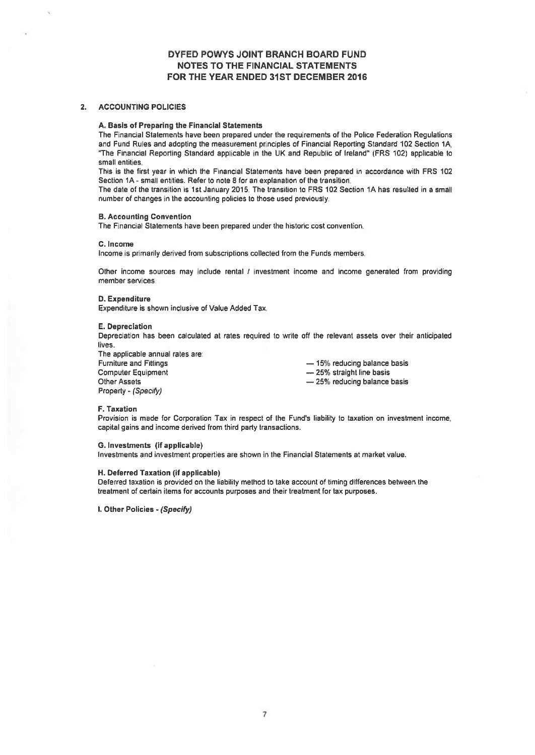#### 2. ACCOUNTING POLICIES

#### A. Basis of Preparing the Financial Statements

The Financial Statements have been prepared under the requirements of the Police Federation Regulations and Fund Rules and adopting the measurement principles of Financial Reporting Standard 102 Section 1A, "The Financial Reporting Standard applicable in the UK and Republic of Ireland" (FRS 102) applicable to small entities.

This is the first year in which the Financial Statements have been prepared in accordance with FRS 102 Section 1A - small entities. Refer to note 8 for an explanation of the transition.

The date of the transition is 1st January 2015. The transition to FRS 102 Section 1A has resulted in <sup>a</sup> small number of changes in the accounting policies to those used previously

#### B. Accounting Convention

The Financial Statements have been prepared under the historic cost convention.

#### C. Income

Income is primarily derived from subscriptions collected from the Funds members.

Other income sources may include rental / investment income and income generated from providing member services

#### D. Expenditure

Expenditure is shown inclusive of Value Added Tax.

#### E. Depreciation

Depreciation has been calculated at rates required to write off the relevant assets over their anticipated lives.

The applicable annual rates are: Furniture and Fittings — 15% reducing balance basis Computer Equipment — 25% straight line basis Other Assets **Example 25** and 25% reducing balance basis Property - (Specify)

#### F. Taxation

Provision is made for Corporation Tax in respec<sup>t</sup> of the Fund's liability to taxation on investment income, capital gains and income derived from third party transactions.

#### G. Investments (if applicable)

Investments and investment properties are shown in the Financial Statements at market value.

#### H. Deferred Taxation (if applicable)

Deferred taxation is provided on the liability method to take account of timing differences between the treatment of certain items for accounts purposes and their treatment for tax purposes.

I. Other Policies - (Specify)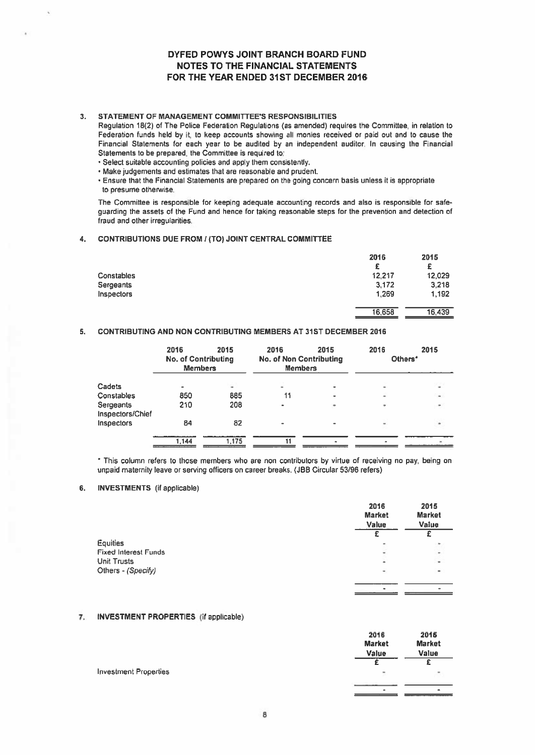### 3. STATEMENT OF MANAGEMENT COMMITTEES RESPONSIBILITIES

- Select suitable accounting policies and apply them consistently.
- Make judgements and estimates that are reasonable and prudent.
- Ensure that the Financial Statements are prepared on the going concern basis unless it is appropriate to presume otherwise.

#### 4. CONTRIBUTIONS DUE FROM ((TO) JOINT CENTRAL COMMITTEE

|                                                                                                                                                                                                                                                                                                                                                                                                                                                                                                                                                                                                                                                                                                                               |                                                      |      | DYFED POWYS JOINT BRANCH BOARD FUND<br><b>NOTES TO THE FINANCIAL STATEMENTS</b><br>FOR THE YEAR ENDED 31ST DECEMBER 2016 |      |                                       |                                       |
|-------------------------------------------------------------------------------------------------------------------------------------------------------------------------------------------------------------------------------------------------------------------------------------------------------------------------------------------------------------------------------------------------------------------------------------------------------------------------------------------------------------------------------------------------------------------------------------------------------------------------------------------------------------------------------------------------------------------------------|------------------------------------------------------|------|--------------------------------------------------------------------------------------------------------------------------|------|---------------------------------------|---------------------------------------|
| STATEMENT OF MANAGEMENT COMMITTEE'S RESPONSIBILITIES<br>Regulation 18(2) of The Police Federation Regulations (as amended) requires the Committee, in relation to<br>Federation funds held by it, to keep accounts showing all monies received or paid out and to cause the<br>Financial Statements for each year to be audited by an independent auditor. In causing the Financial<br>Statements to be prepared, the Committee is required to:<br>· Select suitable accounting policies and apply them consistently.<br>. Make judgements and estimates that are reasonable and prudent.<br>. Ensure that the Financial Statements are prepared on the going concern basis unless it is appropriate<br>to presume otherwise. |                                                      |      |                                                                                                                          |      |                                       |                                       |
| The Committee is responsible for keeping adequate accounting records and also is responsible for safe-<br>guarding the assets of the Fund and hence for taking reasonable steps for the prevention and detection of<br>fraud and other irregularities.                                                                                                                                                                                                                                                                                                                                                                                                                                                                        |                                                      |      |                                                                                                                          |      |                                       |                                       |
| <b>CONTRIBUTIONS DUE FROM / (TO) JOINT CENTRAL COMMITTEE</b>                                                                                                                                                                                                                                                                                                                                                                                                                                                                                                                                                                                                                                                                  |                                                      |      |                                                                                                                          |      |                                       |                                       |
| Constables<br>Sergeants<br>Inspectors                                                                                                                                                                                                                                                                                                                                                                                                                                                                                                                                                                                                                                                                                         |                                                      |      |                                                                                                                          |      | 2016<br>£<br>12,217<br>3.172<br>1.269 | 2015<br>£<br>12,029<br>3.218<br>1.192 |
|                                                                                                                                                                                                                                                                                                                                                                                                                                                                                                                                                                                                                                                                                                                               |                                                      |      |                                                                                                                          |      | 16,658                                | 16,439                                |
| <b>CONTRIBUTING AND NON CONTRIBUTING MEMBERS AT 31ST DECEMBER 2016</b>                                                                                                                                                                                                                                                                                                                                                                                                                                                                                                                                                                                                                                                        |                                                      |      |                                                                                                                          |      |                                       |                                       |
|                                                                                                                                                                                                                                                                                                                                                                                                                                                                                                                                                                                                                                                                                                                               | 2016<br><b>No. of Contributing</b><br><b>Members</b> | 2015 | 2016<br><b>No. of Non Contributing</b><br>Members                                                                        | 2015 | 2016<br>Others <sup>*</sup>           | 2015                                  |

# 5. CONTRIBUTING AND NON CONTRIBUTING MEMBERS AT 31ST DECEMBER 2016

|                               | 2016<br><b>No. of Contributing</b><br><b>Members</b> | 2015  | 2016<br><b>No. of Non Contributing</b><br><b>Members</b> | 2015 | 2016<br>Others*          | 2015           |
|-------------------------------|------------------------------------------------------|-------|----------------------------------------------------------|------|--------------------------|----------------|
| Cadets                        | $\overline{\phantom{a}}$                             | ۰     | ۰                                                        |      | ۰                        | $\blacksquare$ |
| Constables                    | 850                                                  | 885   | 11                                                       |      | ۰                        | $\sim$         |
| Sergeants<br>Inspectors/Chief | 210                                                  | 208   | ٠                                                        | ۰    | ٠                        | ۰              |
| Inspectors                    | 84                                                   | 82    | $\overline{\phantom{0}}$                                 |      | $\overline{\phantom{a}}$ |                |
|                               | 1.144                                                | 1.175 |                                                          | ۰    |                          |                |

\* This column refers to those members who are non contributors by virtue of receiving no pay, being on unpaid maternity leave or serving officers on career breaks. (JBB Circular 53/96 refers)

#### 6. INVESTMENTS (if applicable)

|                             | 2016<br><b>Market</b><br>Value | 2015<br><b>Market</b><br>Value |
|-----------------------------|--------------------------------|--------------------------------|
|                             |                                |                                |
| <b>Equities</b>             | $\overline{\phantom{a}}$       |                                |
| <b>Fixed Interest Funds</b> | ٠                              | $\overline{\phantom{a}}$       |
| <b>Unit Trusts</b>          | ۰                              | $\sim$                         |
| Others - (Specify)          | ٠                              | $\blacksquare$                 |
|                             | ٠                              | $\overline{\phantom{0}}$       |

# 7. INVESTMENT PROPERTIES (if applicable)

|                              | 2016<br><b>Market</b> | 2015<br><b>Market</b> |
|------------------------------|-----------------------|-----------------------|
|                              | Value                 | Value                 |
|                              |                       | c                     |
| <b>Investment Properties</b> | ÷,                    | ×.                    |
|                              | $\bullet$             | $\bullet$             |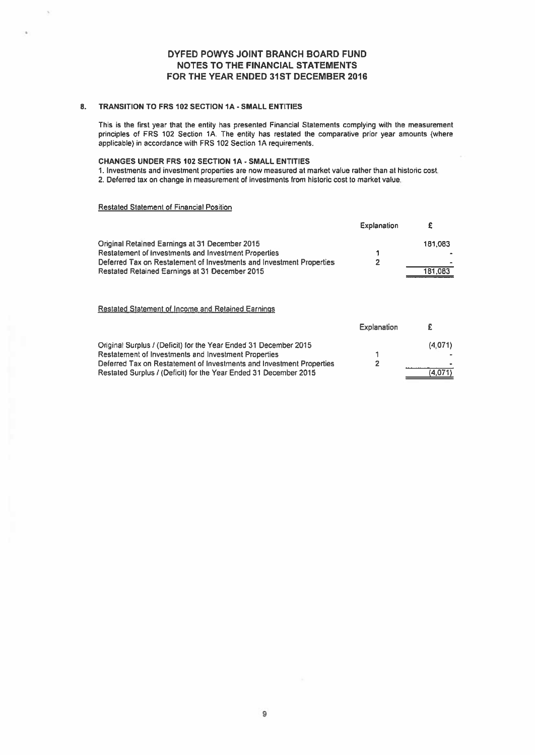# 8. TRANSITION TO FRS 102 SECTION IA - SMALL ENTITIES

This is the first year that the entity has presented Financial Statements complying with the measurement principles of FRS 102 Section 1A. The entity has restated the comparative prior year amounts (where applicable) in accordance with FRS 102 Section 1A requirements.

#### CHANGES UNDER FRS 102 SECTION IA - SMALL ENTITIES

1. Investments and investment properties are now measured at market value rather lhan at historic cost.

2. Deferred tax on change in measurement of investments from historic cost to market value.

### Restated Statement of Financial Position

|                                                                      | Explanation |                          |
|----------------------------------------------------------------------|-------------|--------------------------|
| Original Retained Earnings at 31 December 2015                       |             | 181.083                  |
| <b>Restatement of Investments and Investment Properties</b>          |             |                          |
| Deferred Tax on Restatement of Investments and Investment Properties | כי          | $\overline{\phantom{a}}$ |
| Restated Retained Earnings at 31 December 2015                       |             | 181,083                  |

# Restated Statement of Income and Retained Earnings

|                                                                      | explanation | z.      |
|----------------------------------------------------------------------|-------------|---------|
| Original Surplus / (Deficit) for the Year Ended 31 December 2015     |             | (4.071) |
| <b>Restatement of Investments and Investment Properties</b>          |             |         |
| Deferred Tax on Restatement of Investments and Investment Properties |             |         |
| Restated Surplus / (Deficit) for the Year Ended 31 December 2015     |             | (4.071) |

Explanation £